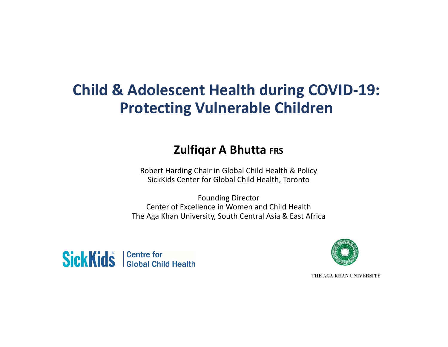## **Child & Adolescent Health during COVID‐19: Protecting Vulnerable Children**

## **Zulfiqar A Bhutta FRS**

Robert Harding Chair in Global Child Health & Policy SickKids Center for Global Child Health, Toronto

Founding Director Center of Excellence in Women and Child Health The Aga Khan University, South Central Asia & East Africa





THE AGA KHAN UNIVERSITY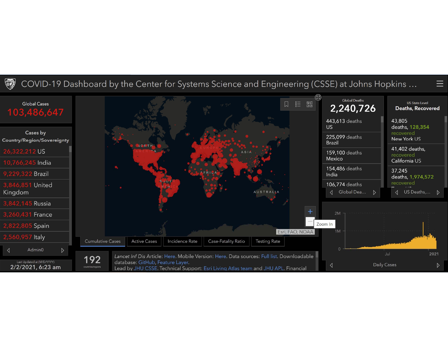

#### COVID-19 Dashboard by the Center for Systems Science and Engineering (CSSE) at Johns Hopkins ...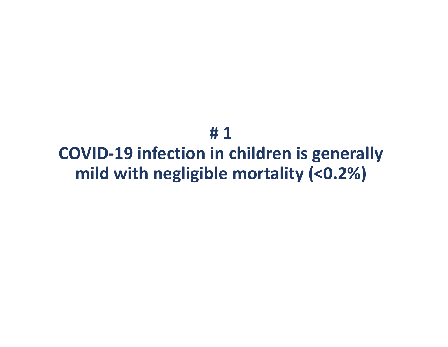**# 1COVID‐19 infection in children is generally mild with negligible mortality (<0.2%)**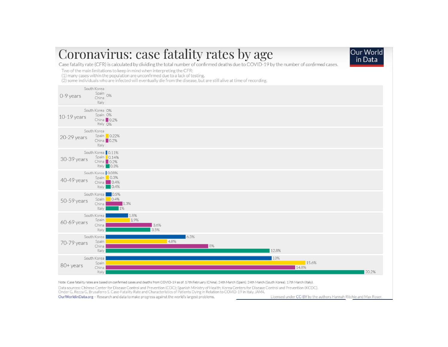## Coronavirus: case fatality rates by age



Case fatality rate (CFR) is calculated by dividing the total number of confirmed deaths due to COVID-19 by the number of confirmed cases.

Two of the main limitations to keep in mind when interpreting the CFR:

(1) many cases within the population are unconfirmed due to a lack of testing.

(2) some individuals who are infected will eventually die from the disease, but are still alive at time of recording.



Note: Case fatality rates are based on confirmed cases and deaths from COVID-19 as of: 17th February (China); 24th March (Spain); 24th March (South Korea); 17th March (Italy).

Data sources: Chinese Center for Disease Control and Prevention (CDC); Spanish Ministry of Health; Korea Centers for Disease Control and Prevention (KCDC).

Onder G, Rezza G, Brusaferro S. Case-Fatality Rate and Characteristics of Patients Dying in Relation to COVID-19 in Italy. JAMA.

Our Worldin Data.org - Research and data to make progress against the world's largest problems.

Licensed under CC-BY by the authors Hannah Ritchie and Max Roser.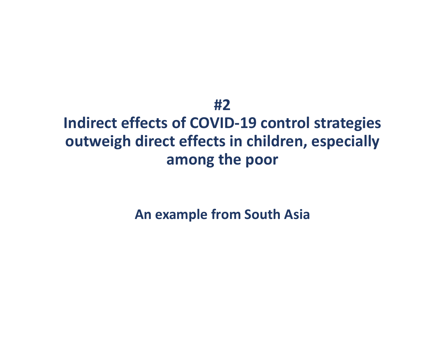## **#2**

# **Indirect effects of COVID‐19 control strategies outweigh direct effects in children, especially among the poor**

**An example from South Asia**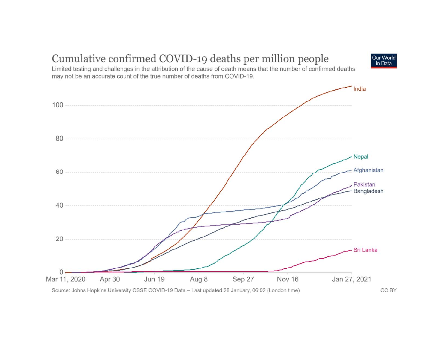

#### Cumulative confirmed COVID-19 deaths per million people

Source: Johns Hopkins University CSSE COVID-19 Data - Last updated 28 January, 06:02 (London time)

CC BY

Our World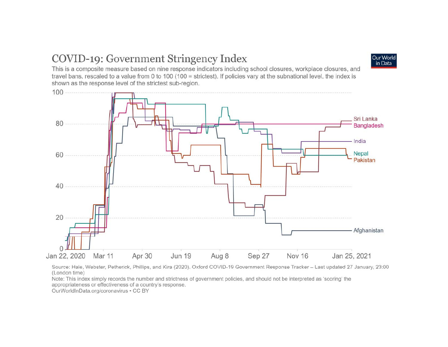### COVID-19: Government Stringency Index



This is a composite measure based on nine response indicators including school closures, workplace closures, and travel bans, rescaled to a value from 0 to 100 (100 = strictest). If policies vary at the subnational level, the index is shown as the response level of the strictest sub-region.



Source: Hale, Webster, Petherick, Phillips, and Kira (2020). Oxford COVID-19 Government Response Tracker - Last updated 27 January, 23:00 (London time)

Note: This index simply records the number and strictness of government policies, and should not be interpreted as 'scoring' the appropriateness or effectiveness of a country's response.

OurWorldInData.org/coronavirus . CC BY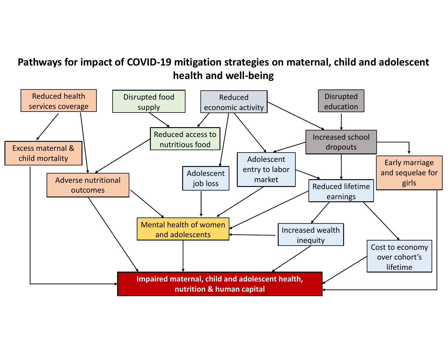#### **Pathways for impact of COVID‐19 mitigation strategies on maternal, child and adolescent health and well‐being**

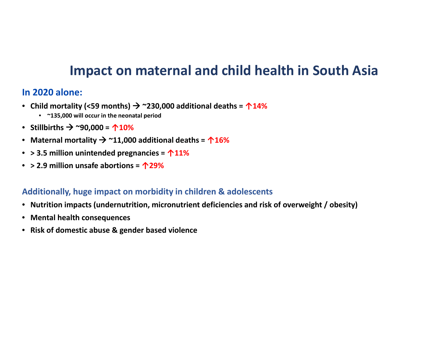## **Impact on maternal and child health in South Asia**

#### **In 2020 alone:**

- **Child mortality (<59 months) ~230,000 additional deaths <sup>=</sup> ↑14%**
	- **~135,000 will occur in the neonatal period**
- **Stillbirths ~90,000 <sup>=</sup> ↑10%**
- **Maternal mortality ~11,000 additional deaths <sup>=</sup> ↑16%**
- **> 3.5 million unintended pregnancies <sup>=</sup> ↑11%**
- **> 2.9 million unsafe abortions <sup>=</sup> ↑29%**

#### **Additionally, huge impact on morbidity in children & adolescents**

- **Nutrition impacts (undernutrition, micronutrient deficiencies and risk of overweight / obesity)**
- **Mental health consequences**
- **Risk of domestic abuse & gender based violence**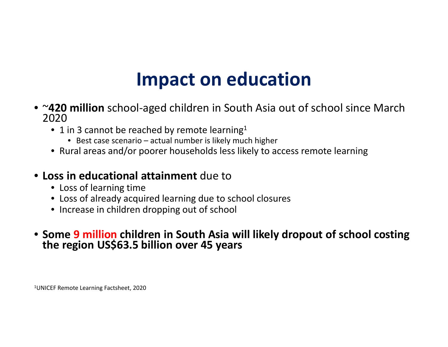# **Impact on education**

- <sup>~</sup>**420 million** school‐aged children in South Asia out of school since March 2020
	- 1 in 3 cannot be reached by remote learning<sup>1</sup>
		- Best case scenario actual number is likely much higher
	- Rural areas and/or poorer households less likely to access remote learning

#### • **Loss in educational attainment** due to

- Loss of learning time
- Loss of already acquired learning due to school closures
- Increase in children dropping out of school

#### • **Some 9 million children in South Asia will likely dropout of school costing theregion US\$63.5 billion over <sup>45</sup> years**

1UNICEF Remote Learning Factsheet, 2020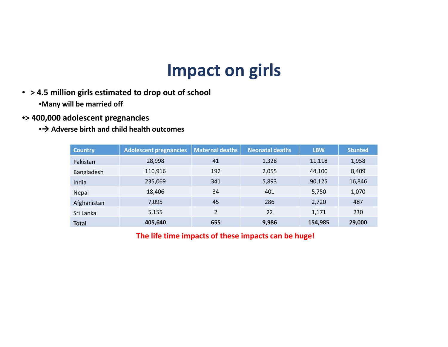# **Impact on girls**

- **> 4.5 million girls estimated to drop out of school** •**Many will be married off**
- •**> 400,000 adolescent pregnancies**
	- **Adverse birth and child health outcomes**

| <b>Country</b> | <b>Adolescent pregnancies</b> | <b>Maternal deaths</b>   | <b>Neonatal deaths</b> | <b>LBW</b> | <b>Stunted</b> |
|----------------|-------------------------------|--------------------------|------------------------|------------|----------------|
| Pakistan       | 28,998                        | 41                       | 1,328                  | 11,118     | 1,958          |
| Bangladesh     | 110,916                       | 192                      | 2,055                  | 44,100     | 8,409          |
| India          | 235,069                       | 341                      | 5,893                  | 90,125     | 16,846         |
| Nepal          | 18,406                        | 34                       | 401                    | 5,750      | 1,070          |
| Afghanistan    | 7,095                         | 45                       | 286                    | 2,720      | 487            |
| Sri Lanka      | 5,155                         | $\overline{\phantom{a}}$ | 22                     | 1,171      | 230            |
| <b>Total</b>   | 405,640                       | 655                      | 9,986                  | 154,985    | 29,000         |

**The life time impacts of these impacts can be huge!**